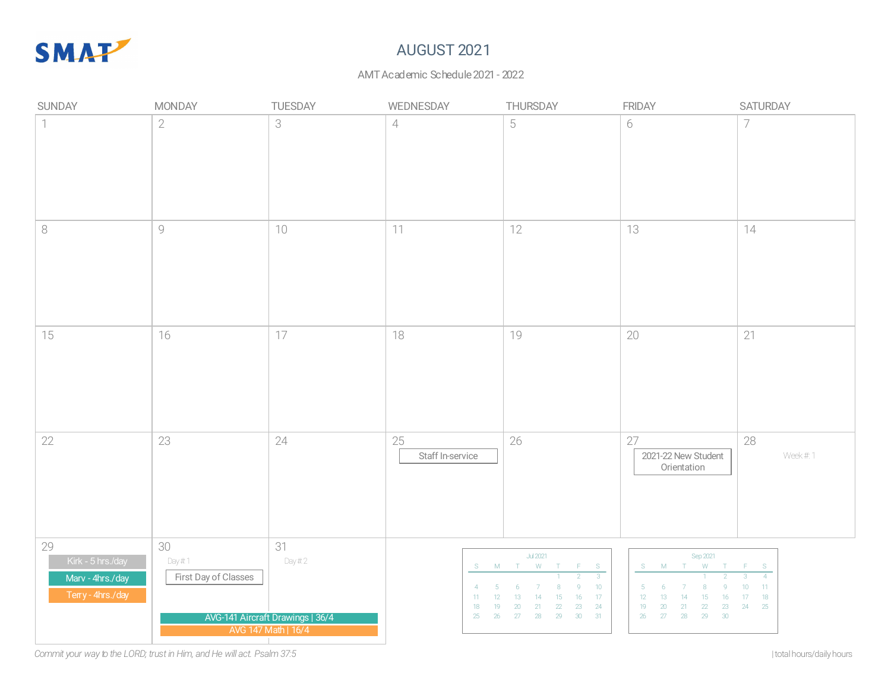

# AUGUST 2021

### AMT Academic Schedule 2021 - 2022

| SUNDAY                                                           | <b>MONDAY</b>                         | TUESDAY                                                 | WEDNESDAY                                                       | THURSDAY                                                                                                                                                                                      | <b>FRIDAY</b>                                                                                                                                    | SATURDAY                                                                       |
|------------------------------------------------------------------|---------------------------------------|---------------------------------------------------------|-----------------------------------------------------------------|-----------------------------------------------------------------------------------------------------------------------------------------------------------------------------------------------|--------------------------------------------------------------------------------------------------------------------------------------------------|--------------------------------------------------------------------------------|
| $\overline{1}$                                                   | $\sqrt{2}$                            | 3                                                       | $\overline{4}$                                                  | 5                                                                                                                                                                                             | 6                                                                                                                                                | $\overline{7}$                                                                 |
| $\,8\,$                                                          | $\mathcal{G}$                         | 10                                                      | 11                                                              | 12                                                                                                                                                                                            | 13                                                                                                                                               | 14                                                                             |
| 15                                                               | 16                                    | 17                                                      | 18                                                              | 19                                                                                                                                                                                            | 20                                                                                                                                               | 21                                                                             |
| 22                                                               | 23                                    | 24                                                      | 25<br>Staff In-service                                          | 26                                                                                                                                                                                            | 27<br>2021-22 New Student<br>Orientation                                                                                                         | 28<br>Week #.1                                                                 |
| 29<br>Kirk - 5 hrs./day<br>Marv - 4hrs./day<br>Terry - 4hrs./day | 30<br>Day #.1<br>First Day of Classes | 31<br>Day#2                                             | $\overline{4}$<br>11 <sup>°</sup><br>12<br>18<br>19<br>25<br>26 | <b>Jul 2021</b><br>S M T W T F<br>S<br>10 <sub>1</sub><br>17 <sub>17</sub><br>13 <sup>°</sup><br>14<br>15<br>16<br>$23\phantom{.0}$<br>24<br>20<br>22<br>21<br>$30\,$<br>31<br>27<br>29<br>28 | Sep 2021<br>S M T W T<br>-5<br>6<br>8<br>12<br>13 <sup>°</sup><br>14<br>15<br>16<br>19<br>20<br>22<br>21<br>23<br>26<br>27<br>$28\,$<br>29<br>30 | $F = S$<br>$-4$<br>10 <sub>1</sub><br>$-11$<br>18<br>17 <sub>17</sub><br>24 25 |
|                                                                  |                                       | AVG-141 Aircraft Drawings   36/4<br>AVG 147 Math   16/4 |                                                                 |                                                                                                                                                                                               |                                                                                                                                                  |                                                                                |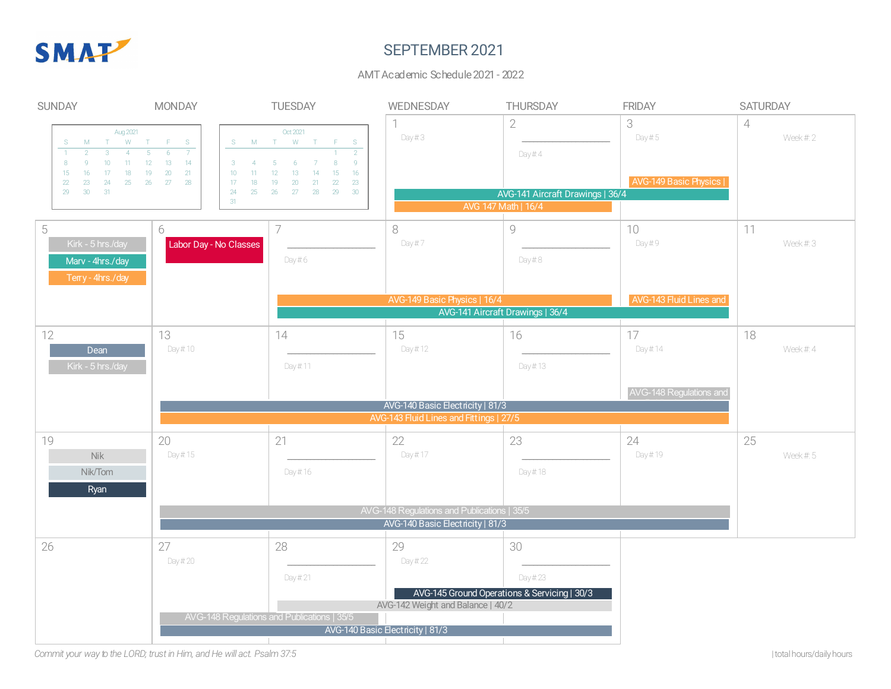

## SEPTEMBER 2021

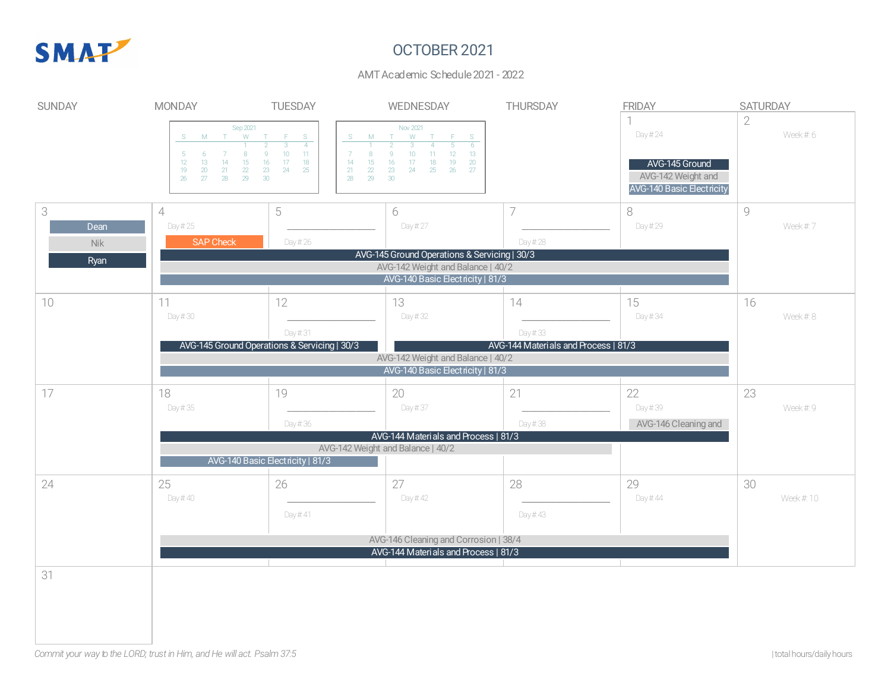

# OCTOBER 2021

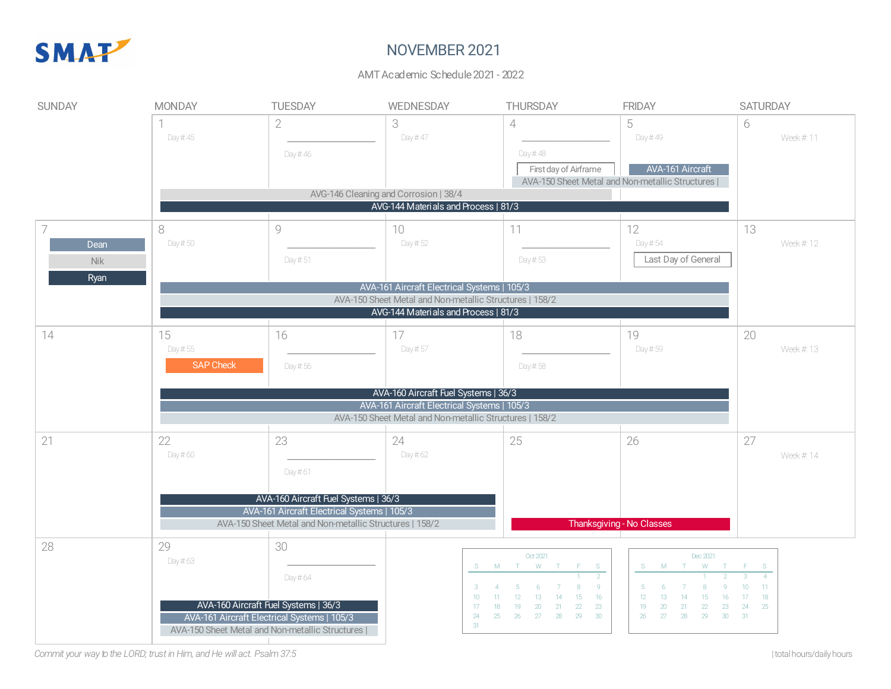

# NOVEMBER 2021

#### AMT Academic Schedule 2021 - 2022

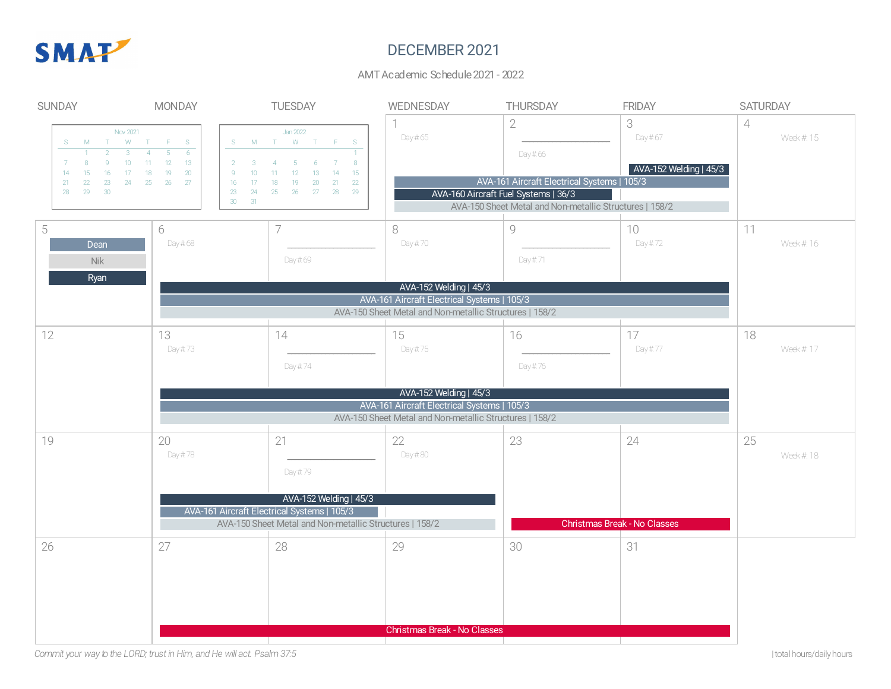

# DECEMBER 2021

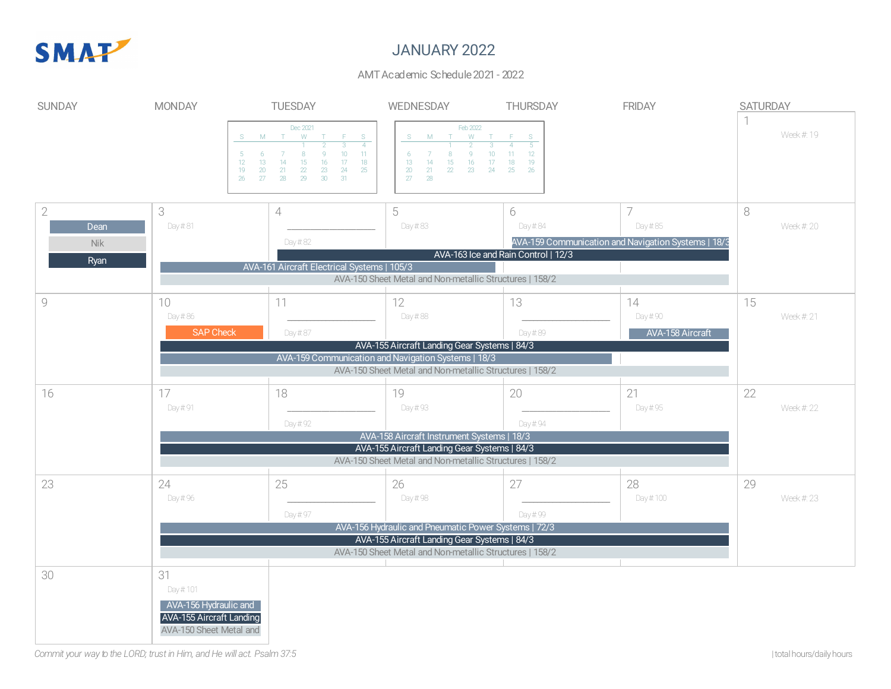

## JANUARY 2022

| <b>SUNDAY</b>                     | <b>MONDAY</b>                                                                                           | <b>TUESDAY</b>                                                                                                                                                                                                                         | WEDNESDAY                                                                                                                                                                                            | <b>THURSDAY</b>                                                                          | <b>FRIDAY</b>                                                  | <b>SATURDAY</b> |           |
|-----------------------------------|---------------------------------------------------------------------------------------------------------|----------------------------------------------------------------------------------------------------------------------------------------------------------------------------------------------------------------------------------------|------------------------------------------------------------------------------------------------------------------------------------------------------------------------------------------------------|------------------------------------------------------------------------------------------|----------------------------------------------------------------|-----------------|-----------|
|                                   | S<br>-5<br>12<br>13<br>19<br>20<br>26<br>27                                                             | Dec 2021<br>W <sub>T</sub><br>$M$ T<br>F.<br>-S<br>$\overline{3}$<br>$\overline{4}$<br>10<br>11<br>8<br>$\overline{9}$<br>15<br>$18\,$<br>14<br>17<br>16<br>$2\!$<br>$24\,$<br>$25\,$<br>21<br>23<br>28<br>29<br>31<br>30 <sup>°</sup> | Feb 2022<br>W <sub>T</sub><br><b>M</b><br>T<br>$\overline{2}$<br>$\overline{3}$<br>10 <sup>°</sup><br>8<br>$\mathbf{Q}$<br>6<br>15<br>13<br>14<br>16<br>17<br>20<br>21<br>22<br>23<br>24<br>27<br>28 | - Final<br>S<br>$\overline{5}$<br>$\overline{A}$<br>12<br>$11 -$<br>18<br>19<br>25<br>26 |                                                                |                 | Week # 19 |
| $\sqrt{2}$<br>Dean<br>Nik<br>Ryan | 3<br>Day #81                                                                                            | $\overline{\mathcal{L}}$<br>Day #82<br>AVA-161 Aircraft Electrical Systems   105/3                                                                                                                                                     | 5<br>Day #83<br>AVA-150 Sheet Metal and Non-metallic Structures   158/2                                                                                                                              | 6<br>Day #84<br>AVA-163 Ice and Rain Control   12/3                                      | Day #85<br>AVA-159 Communication and Navigation Systems   18/3 | 8               | Week # 20 |
| $\mathcal{G}$                     | 10<br>Day #86<br><b>SAP Check</b>                                                                       | 11<br>Day #87                                                                                                                                                                                                                          | 12<br>Day #88<br>AVA-155 Aircraft Landing Gear Systems   84/3<br>AVA-159 Communication and Navigation Systems   18/3                                                                                 | 13<br>Day #89                                                                            | 14<br>Day # 90<br><b>AVA-158 Aircraft</b>                      | 15              | Week # 21 |
|                                   |                                                                                                         |                                                                                                                                                                                                                                        | AVA-150 Sheet Metal and Non-metallic Structures   158/2                                                                                                                                              |                                                                                          |                                                                |                 |           |
| 16                                | 17<br>Day # 91                                                                                          | 18<br>Day # 92                                                                                                                                                                                                                         | 19<br>Day # 93                                                                                                                                                                                       | 20<br>Day # 94                                                                           | 21<br>Day # 95                                                 | 22              | Week # 22 |
|                                   | AVA-158 Aircraft Instrument Systems   18/3                                                              |                                                                                                                                                                                                                                        |                                                                                                                                                                                                      |                                                                                          |                                                                |                 |           |
|                                   | AVA-155 Aircraft Landing Gear Systems   84/3<br>AVA-150 Sheet Metal and Non-metallic Structures   158/2 |                                                                                                                                                                                                                                        |                                                                                                                                                                                                      |                                                                                          |                                                                |                 |           |
| 23                                | 24<br>Day # 96                                                                                          | 25<br>Day # 97                                                                                                                                                                                                                         | 26<br>Day # 98                                                                                                                                                                                       | 27<br>Day # 99                                                                           | 28<br>Day # 100                                                | 29              | Week # 23 |
|                                   | AVA-156 Hydraulic and Pneumatic Power Systems   72/3<br>AVA-155 Aircraft Landing Gear Systems   84/3    |                                                                                                                                                                                                                                        |                                                                                                                                                                                                      |                                                                                          |                                                                |                 |           |
|                                   | AVA-150 Sheet Metal and Non-metallic Structures   158/2                                                 |                                                                                                                                                                                                                                        |                                                                                                                                                                                                      |                                                                                          |                                                                |                 |           |
| 30                                | 31<br>Day # 101<br>AVA-156 Hydraulic and<br><b>AVA-155 Aircraft Landing</b><br>AVA-150 Sheet Metal and  |                                                                                                                                                                                                                                        |                                                                                                                                                                                                      |                                                                                          |                                                                |                 |           |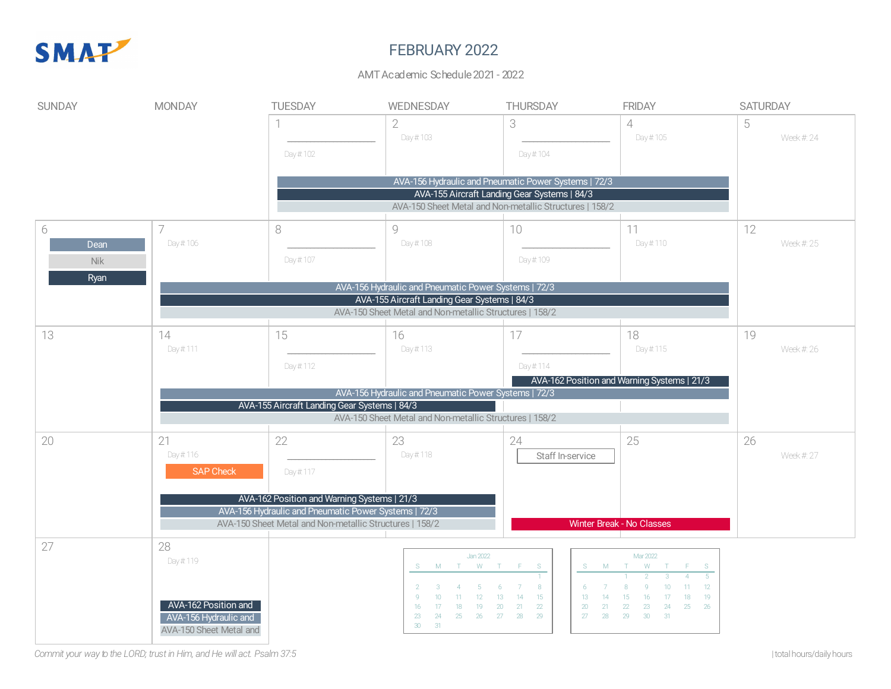

# FEBRUARY 2022

### AMT Academic Schedule 2021 - 2022

| <b>SUNDAY</b> | <b>MONDAY</b>                                                                                                                                                   | <b>TUESDAY</b>                                                                                       | WEDNESDAY                                               | <b>THURSDAY</b>                                                       | <b>FRIDAY</b>                                                        | <b>SATURDAY</b> |  |  |  |
|---------------|-----------------------------------------------------------------------------------------------------------------------------------------------------------------|------------------------------------------------------------------------------------------------------|---------------------------------------------------------|-----------------------------------------------------------------------|----------------------------------------------------------------------|-----------------|--|--|--|
|               |                                                                                                                                                                 |                                                                                                      | $\sqrt{2}$                                              | 3                                                                     | $\overline{4}$                                                       | 5               |  |  |  |
|               |                                                                                                                                                                 |                                                                                                      | Day # 103                                               |                                                                       | Day # 105                                                            | Week # 24       |  |  |  |
|               |                                                                                                                                                                 | Day # 102                                                                                            |                                                         | Day # 104                                                             |                                                                      |                 |  |  |  |
|               |                                                                                                                                                                 |                                                                                                      |                                                         |                                                                       |                                                                      |                 |  |  |  |
|               |                                                                                                                                                                 |                                                                                                      |                                                         | AVA-156 Hydraulic and Pneumatic Power Systems   72/3                  |                                                                      |                 |  |  |  |
|               |                                                                                                                                                                 |                                                                                                      | AVA-155 Aircraft Landing Gear Systems   84/3            |                                                                       |                                                                      |                 |  |  |  |
|               |                                                                                                                                                                 |                                                                                                      | AVA-150 Sheet Metal and Non-metallic Structures   158/2 |                                                                       |                                                                      |                 |  |  |  |
| 6             |                                                                                                                                                                 | 8                                                                                                    | $\circ$                                                 | 10                                                                    | 11                                                                   | 12              |  |  |  |
| Dean          | Day # 106                                                                                                                                                       |                                                                                                      | Day # 108                                               |                                                                       | Day # 110                                                            | Week # 25       |  |  |  |
| Nik           |                                                                                                                                                                 | Day # 107                                                                                            |                                                         | Day # 109                                                             |                                                                      |                 |  |  |  |
| Ryan          |                                                                                                                                                                 |                                                                                                      |                                                         |                                                                       |                                                                      |                 |  |  |  |
|               | AVA-156 Hydraulic and Pneumatic Power Systems   72/3<br>AVA-155 Aircraft Landing Gear Systems   84/3<br>AVA-150 Sheet Metal and Non-metallic Structures   158/2 |                                                                                                      |                                                         |                                                                       |                                                                      |                 |  |  |  |
|               |                                                                                                                                                                 |                                                                                                      |                                                         |                                                                       |                                                                      |                 |  |  |  |
|               |                                                                                                                                                                 |                                                                                                      |                                                         |                                                                       |                                                                      |                 |  |  |  |
| 13            | 14                                                                                                                                                              | 15                                                                                                   | 16                                                      | 17                                                                    | 18                                                                   | 19              |  |  |  |
|               | Day # 111                                                                                                                                                       |                                                                                                      | Day # 113                                               |                                                                       | Day # 115                                                            | Week # 26       |  |  |  |
|               |                                                                                                                                                                 | Day # 112                                                                                            |                                                         | Day # 114                                                             |                                                                      |                 |  |  |  |
|               |                                                                                                                                                                 |                                                                                                      |                                                         |                                                                       | AVA-162 Position and Warning Systems   21/3                          |                 |  |  |  |
|               |                                                                                                                                                                 | AVA-156 Hydraulic and Pneumatic Power Systems   72/3<br>AVA-155 Aircraft Landing Gear Systems   84/3 |                                                         |                                                                       |                                                                      |                 |  |  |  |
|               | AVA-150 Sheet Metal and Non-metallic Structures   158/2                                                                                                         |                                                                                                      |                                                         |                                                                       |                                                                      |                 |  |  |  |
|               |                                                                                                                                                                 |                                                                                                      |                                                         |                                                                       |                                                                      |                 |  |  |  |
| 20            | 21<br>Day #116                                                                                                                                                  | 22                                                                                                   | 23<br>Day # 118                                         | 24                                                                    | 25                                                                   | 26<br>Week # 27 |  |  |  |
|               | <b>SAP Check</b>                                                                                                                                                |                                                                                                      |                                                         | Staff In-service                                                      |                                                                      |                 |  |  |  |
|               |                                                                                                                                                                 | Day # 117                                                                                            |                                                         |                                                                       |                                                                      |                 |  |  |  |
|               |                                                                                                                                                                 | AVA-162 Position and Warning Systems   21/3                                                          |                                                         |                                                                       |                                                                      |                 |  |  |  |
|               |                                                                                                                                                                 | AVA-156 Hydraulic and Pneumatic Power Systems   72/3                                                 |                                                         |                                                                       |                                                                      |                 |  |  |  |
|               |                                                                                                                                                                 | AVA-150 Sheet Metal and Non-metallic Structures   158/2                                              |                                                         |                                                                       | Winter Break - No Classes                                            |                 |  |  |  |
| 27            | 28                                                                                                                                                              |                                                                                                      |                                                         |                                                                       |                                                                      |                 |  |  |  |
|               | Day #119                                                                                                                                                        |                                                                                                      | <b>Jan 2022</b>                                         |                                                                       | Mar 2022                                                             |                 |  |  |  |
|               |                                                                                                                                                                 |                                                                                                      | M.<br>T<br>S.                                           | W T F<br>S                                                            | W<br>M<br>$F = S$<br>$\top$                                          |                 |  |  |  |
|               |                                                                                                                                                                 |                                                                                                      |                                                         | 8                                                                     | 12<br>10                                                             |                 |  |  |  |
|               | AVA-162 Position and                                                                                                                                            |                                                                                                      | 10<br>-11<br>16<br>17<br>18                             | 15<br>13<br>14<br>12 <sup>°</sup><br>13<br>20<br>21<br>22<br>19<br>20 | 19<br>17<br>18<br>14<br>15<br>16<br>25<br>26<br>22<br>23<br>24<br>21 |                 |  |  |  |
|               | AVA-156 Hydraulic and                                                                                                                                           |                                                                                                      | 23<br>24<br>25<br>26<br>30 <sup>°</sup><br>31           | 28<br>29<br>27<br>27                                                  | 28<br>29<br>30 <sup>°</sup><br>$-31$                                 |                 |  |  |  |
|               | AVA-150 Sheet Metal and                                                                                                                                         |                                                                                                      |                                                         |                                                                       |                                                                      |                 |  |  |  |
|               |                                                                                                                                                                 |                                                                                                      |                                                         |                                                                       |                                                                      |                 |  |  |  |

Commit your way to the LORD; trust in Him, and He will act. Psalm 37:5  $\,$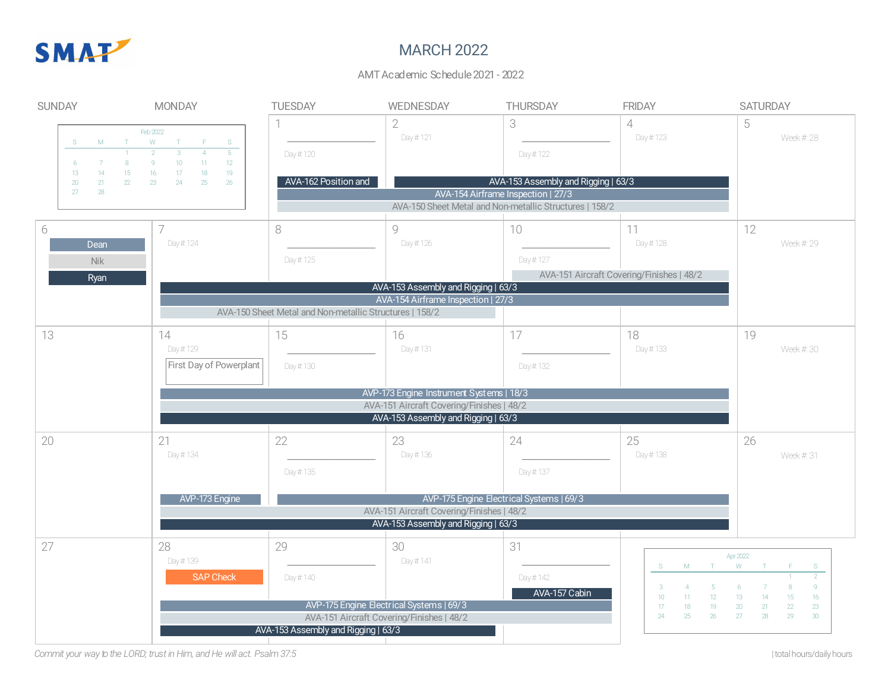

## MARCH 2022

### AMT Academic Schedule 2021 - 2022

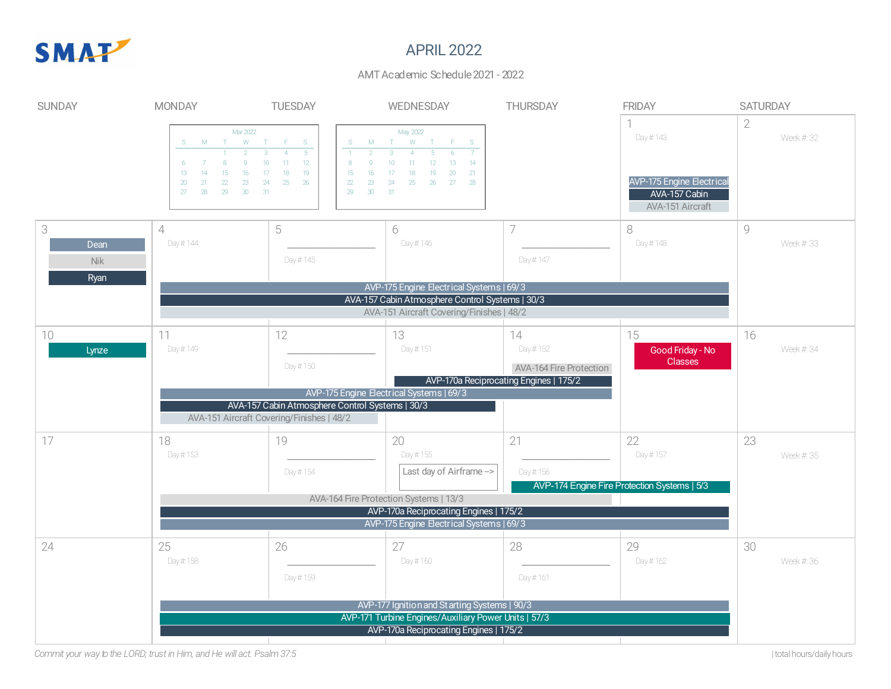

## APRIL 2022

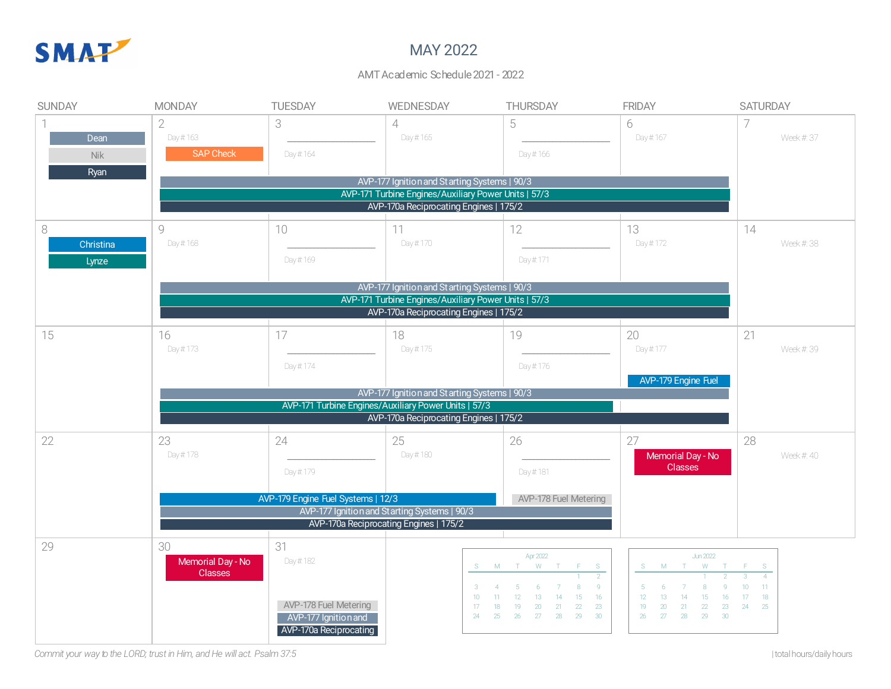

### MAY 2022

#### AMT Academic Schedule 2021 - 2022

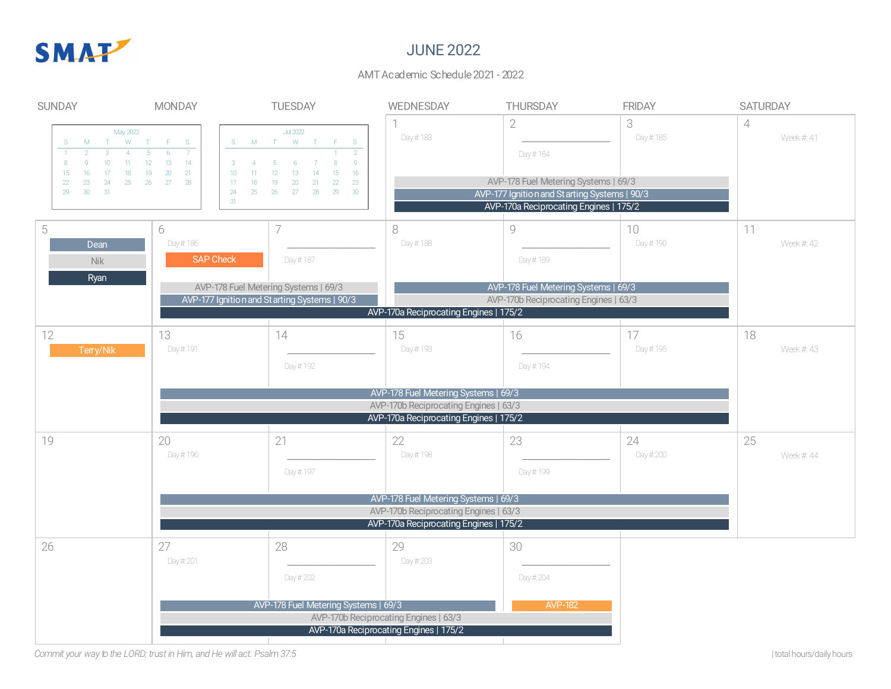

### JUNE 2022

#### AMT Academic Schedule 2021 - 2022

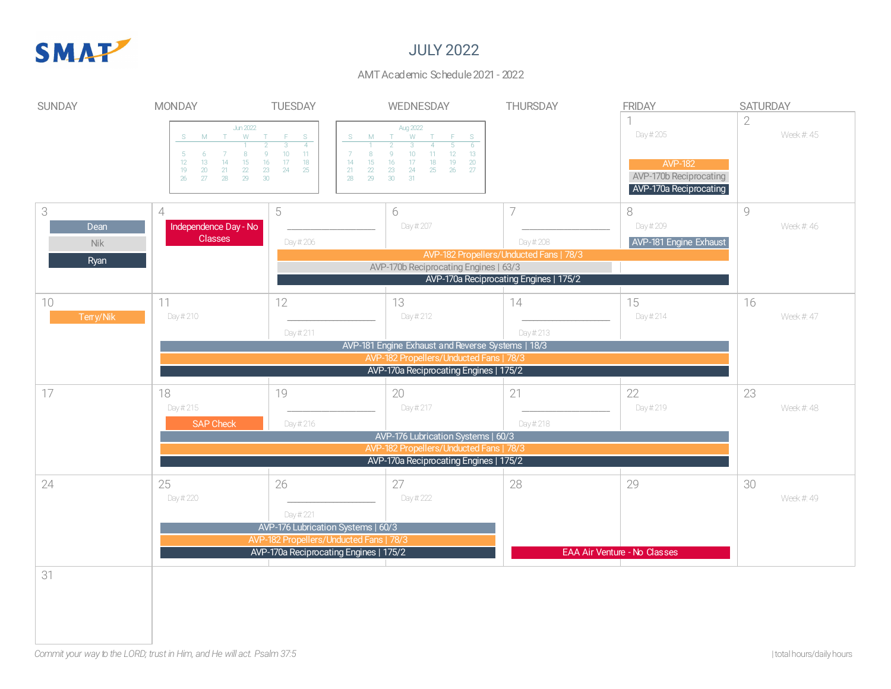

## JULY 2022